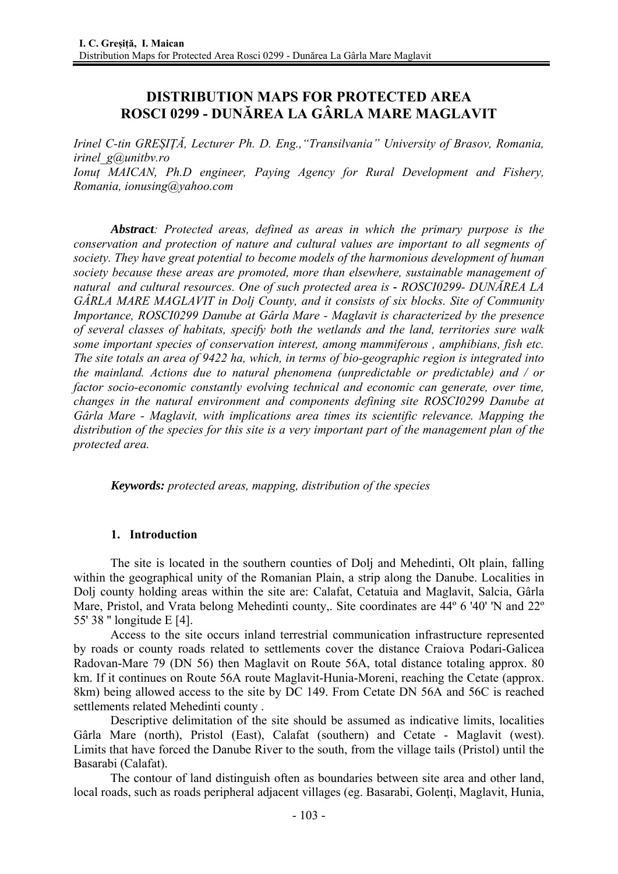# **DISTRIBUTION MAPS FOR PROTECTED AREA ROSCI 0299 - DUNĂREA LA GÂRLA MARE MAGLAVIT**

*Irinel C-tin GREȘIȚĂ, Lecturer Ph. D. Eng.,"Transilvania" University of Brasov, Romania, irinel\_g@unitbv.ro Ionuț MAICAN, Ph.D engineer, Paying Agency for Rural Development and Fishery, Romania, ionusing@yahoo.com* 

*Abstract: Protected areas, defined as areas in which the primary purpose is the conservation and protection of nature and cultural values are important to all segments of society. They have great potential to become models of the harmonious development of human society because these areas are promoted, more than elsewhere, sustainable management of natural and cultural resources. One of such protected area is - ROSCI0299- DUNĂREA LA GÂRLA MARE MAGLAVIT in Dolj County, and it consists of six blocks. Site of Community Importance, ROSCI0299 Danube at Gârla Mare - Maglavit is characterized by the presence of several classes of habitats, specify both the wetlands and the land, territories sure walk some important species of conservation interest, among mammiferous , amphibians, fish etc. The site totals an area of 9422 ha, which, in terms of bio-geographic region is integrated into the mainland. Actions due to natural phenomena (unpredictable or predictable) and / or factor socio-economic constantly evolving technical and economic can generate, over time, changes in the natural environment and components defining site ROSCI0299 Danube at Gârla Mare - Maglavit, with implications area times its scientific relevance. Mapping the distribution of the species for this site is a very important part of the management plan of the protected area.* 

*Keywords: protected areas, mapping, distribution of the species* 

# **1. Introduction**

The site is located in the southern counties of Dolj and Mehedinti, Olt plain, falling within the geographical unity of the Romanian Plain, a strip along the Danube. Localities in Dolj county holding areas within the site are: Calafat, Cetatuia and Maglavit, Salcia, Gârla Mare, Pristol, and Vrata belong Mehedinti county,. Site coordinates are 44<sup>o</sup> 6 '40' 'N and 22<sup>o'</sup> 55' 38 '' longitude E [4].

Access to the site occurs inland terrestrial communication infrastructure represented by roads or county roads related to settlements cover the distance Craiova Podari-Galicea Radovan-Mare 79 (DN 56) then Maglavit on Route 56A, total distance totaling approx. 80 km. If it continues on Route 56A route Maglavit-Hunia-Moreni, reaching the Cetate (approx. 8km) being allowed access to the site by DC 149. From Cetate DN 56A and 56C is reached settlements related Mehedinti county .

Descriptive delimitation of the site should be assumed as indicative limits, localities Gârla Mare (north), Pristol (East), Calafat (southern) and Cetate - Maglavit (west). Limits that have forced the Danube River to the south, from the village tails (Pristol) until the Basarabi (Calafat).

The contour of land distinguish often as boundaries between site area and other land, local roads, such as roads peripheral adjacent villages (eg. Basarabi, Golenti, Maglavit, Hunia,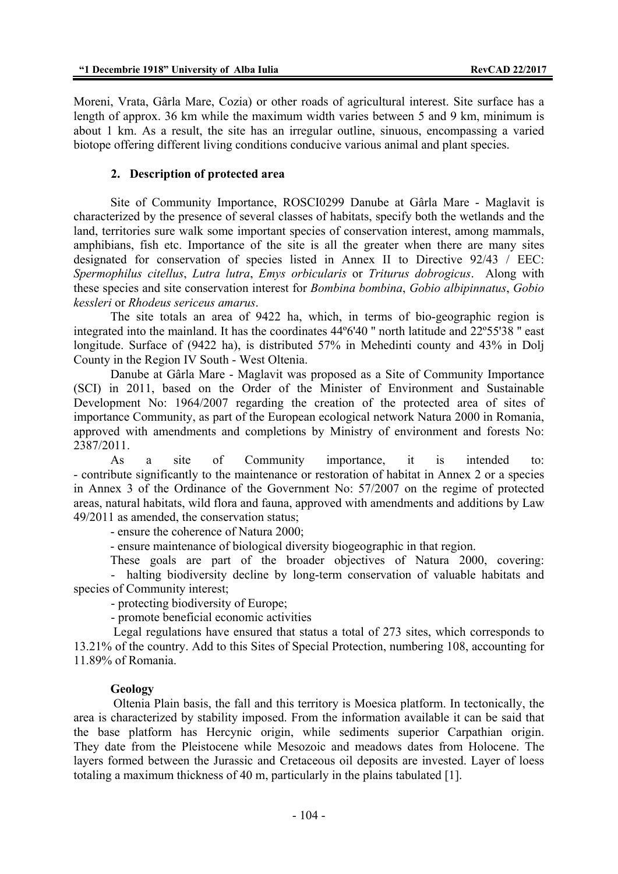Moreni, Vrata, Gârla Mare, Cozia) or other roads of agricultural interest. Site surface has a length of approx. 36 km while the maximum width varies between 5 and 9 km, minimum is about 1 km. As a result, the site has an irregular outline, sinuous, encompassing a varied biotope offering different living conditions conducive various animal and plant species.

### **2. Description of protected area**

Site of Community Importance, ROSCI0299 Danube at Gârla Mare - Maglavit is characterized by the presence of several classes of habitats, specify both the wetlands and the land, territories sure walk some important species of conservation interest, among mammals, amphibians, fish etc. Importance of the site is all the greater when there are many sites designated for conservation of species listed in Annex II to Directive 92/43 / EEC: *Spermophilus citellus*, *Lutra lutra*, *Emys orbicularis* or *Triturus dobrogicus*. Along with these species and site conservation interest for *Bombina bombina*, *Gobio albipinnatus*, *Gobio kessleri* or *Rhodeus sericeus amarus*.

The site totals an area of 9422 ha, which, in terms of bio-geographic region is integrated into the mainland. It has the coordinates 44º6'40 '' north latitude and 22º55'38 '' east longitude. Surface of (9422 ha), is distributed 57% in Mehedinti county and 43% in Dolj County in the Region IV South - West Oltenia.

Danube at Gârla Mare - Maglavit was proposed as a Site of Community Importance (SCI) in 2011, based on the Order of the Minister of Environment and Sustainable Development No: 1964/2007 regarding the creation of the protected area of sites of importance Community, as part of the European ecological network Natura 2000 in Romania, approved with amendments and completions by Ministry of environment and forests No: 2387/2011.

As a site of Community importance, it is intended to: - contribute significantly to the maintenance or restoration of habitat in Annex 2 or a species in Annex 3 of the Ordinance of the Government No: 57/2007 on the regime of protected areas, natural habitats, wild flora and fauna, approved with amendments and additions by Law 49/2011 as amended, the conservation status;

- ensure the coherence of Natura 2000;

- ensure maintenance of biological diversity biogeographic in that region.

These goals are part of the broader objectives of Natura 2000, covering: - halting biodiversity decline by long-term conservation of valuable habitats and species of Community interest;

- protecting biodiversity of Europe;

- promote beneficial economic activities

 Legal regulations have ensured that status a total of 273 sites, which corresponds to 13.21% of the country. Add to this Sites of Special Protection, numbering 108, accounting for 11.89% of Romania.

#### **Geology**

 Oltenia Plain basis, the fall and this territory is Moesica platform. In tectonically, the area is characterized by stability imposed. From the information available it can be said that the base platform has Hercynic origin, while sediments superior Carpathian origin. They date from the Pleistocene while Mesozoic and meadows dates from Holocene. The layers formed between the Jurassic and Cretaceous oil deposits are invested. Layer of loess totaling a maximum thickness of 40 m, particularly in the plains tabulated [1].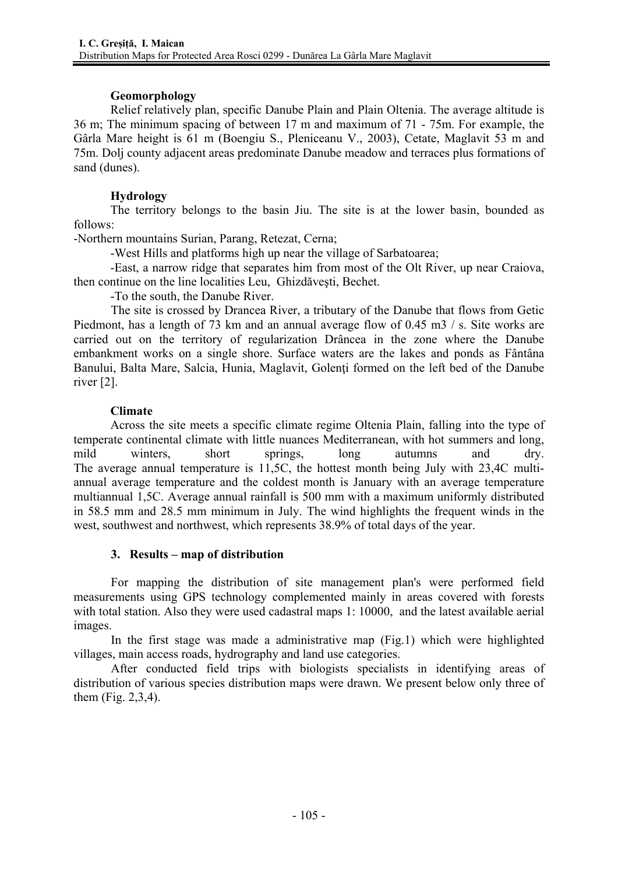# **Geomorphology**

Relief relatively plan, specific Danube Plain and Plain Oltenia. The average altitude is 36 m; The minimum spacing of between 17 m and maximum of 71 - 75m. For example, the Gârla Mare height is 61 m (Boengiu S., Pleniceanu V., 2003), Cetate, Maglavit 53 m and 75m. Dolj county adjacent areas predominate Danube meadow and terraces plus formations of sand (dunes).

# **Hydrology**

The territory belongs to the basin Jiu. The site is at the lower basin, bounded as follows:

-Northern mountains Surian, Parang, Retezat, Cerna;

-West Hills and platforms high up near the village of Sarbatoarea;

-East, a narrow ridge that separates him from most of the Olt River, up near Craiova, then continue on the line localities Leu, Ghizdăveşti, Bechet.

-To the south, the Danube River.

 The site is crossed by Drancea River, a tributary of the Danube that flows from Getic Piedmont, has a length of 73 km and an annual average flow of 0.45 m3 / s. Site works are carried out on the territory of regularization Drâncea in the zone where the Danube embankment works on a single shore. Surface waters are the lakes and ponds as Fântâna Banului, Balta Mare, Salcia, Hunia, Maglavit, Golenți formed on the left bed of the Danube river [2].

# **Climate**

Across the site meets a specific climate regime Oltenia Plain, falling into the type of temperate continental climate with little nuances Mediterranean, with hot summers and long, mild winters, short springs, long autumns and dry. The average annual temperature is 11,5C, the hottest month being July with 23,4C multiannual average temperature and the coldest month is January with an average temperature multiannual 1,5C. Average annual rainfall is 500 mm with a maximum uniformly distributed in 58.5 mm and 28.5 mm minimum in July. The wind highlights the frequent winds in the west, southwest and northwest, which represents 38.9% of total days of the year.

# **3. Results – map of distribution**

For mapping the distribution of site management plan's were performed field measurements using GPS technology complemented mainly in areas covered with forests with total station. Also they were used cadastral maps 1: 10000, and the latest available aerial images.

In the first stage was made a administrative map (Fig.1) which were highlighted villages, main access roads, hydrography and land use categories.

After conducted field trips with biologists specialists in identifying areas of distribution of various species distribution maps were drawn. We present below only three of them (Fig. 2,3,4).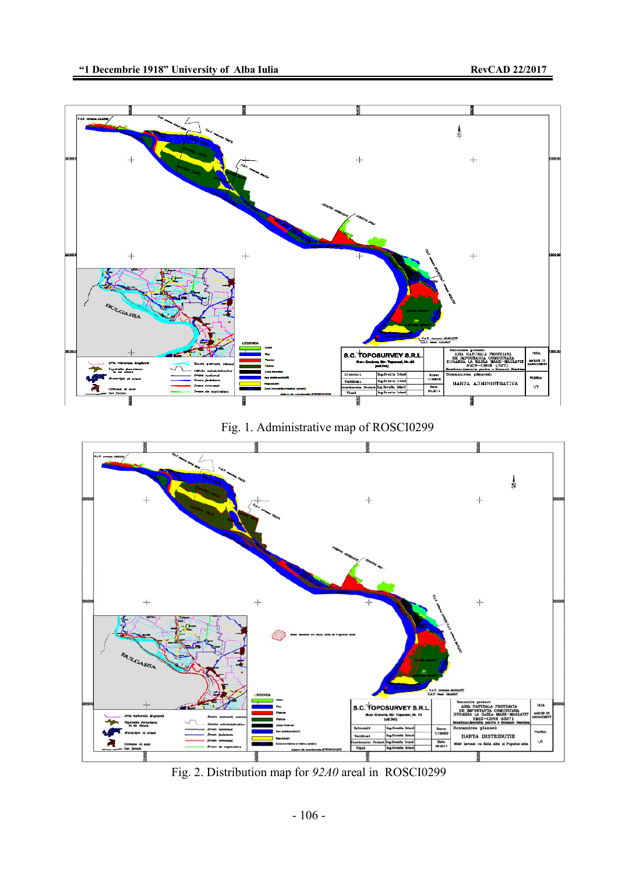

Fig. 1. Administrative map of ROSCI0299



Fig. 2. Distribution map for *92A0* areal in ROSCI0299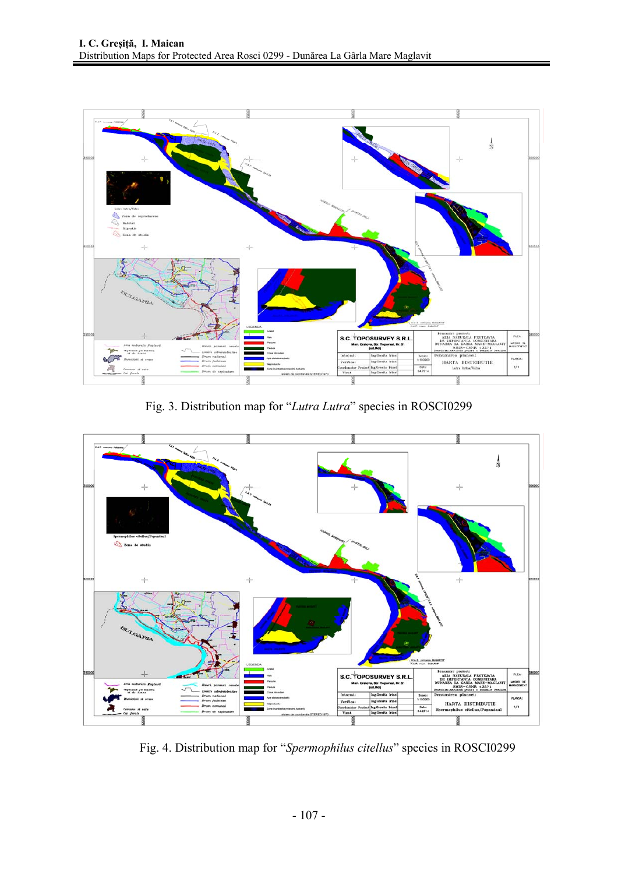

Fig. 3. Distribution map for "*Lutra Lutra*" species in ROSCI0299



Fig. 4. Distribution map for "*Spermophilus citellus*" species in ROSCI0299